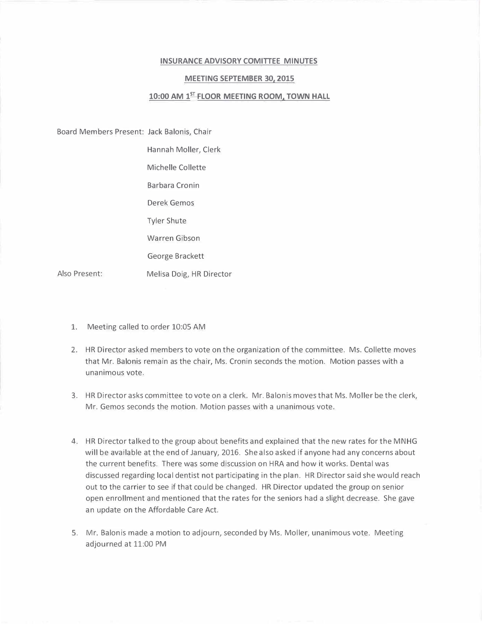## **INSURANCE ADVISORY COMITTEE MINUTES**

## **MEETING SEPTEMBER 30, 2015**

## **10:00 AM 1 5r FLOOR MEETING ROOM, TOWN HALL**

Board Members Present: Jack Balonis, Chair

Hannah Moller, Clerk

Michelle Collette

Barbara Cronin

Derek Gemos

Tyler Shute

Warren Gibson

George Brackett

Melisa Doig, HR Director

Also Present:

- 1. Meeting called to order 10:05 AM
- 2. HR Director asked members to vote on the organization of the committee. Ms. Collette moves that Mr. Balonis remain as the chair, Ms. Cronin seconds the motion. Motion passes with a unanimous vote.
- 3. HR Director asks committee to vote on a clerk. Mr. Balonis moves that Ms. Moller be the clerk, Mr. Gemos seconds the motion. Motion passes with a unanimous vote.
- 4. HR Director talked to the group about benefits and explained that the new rates for the MNHG will be available at the end of January, 2016. She also asked if anyone had any concerns about the current benefits. There was some discussion on HRA and how it works. Dental was discussed regarding local dentist not participating in the plan. HR Director said she would reach out to the carrier to see if that could be changed. HR Director updated the group on senior open enrollment and mentioned that the rates for the seniors had a slight decrease. She gave an update on the Affordable Care Act.
- 5. Mr. Balonis made a motion to adjourn, seconded by Ms. Moller, unanimous vote. Meeting adjourned at 11:00 PM